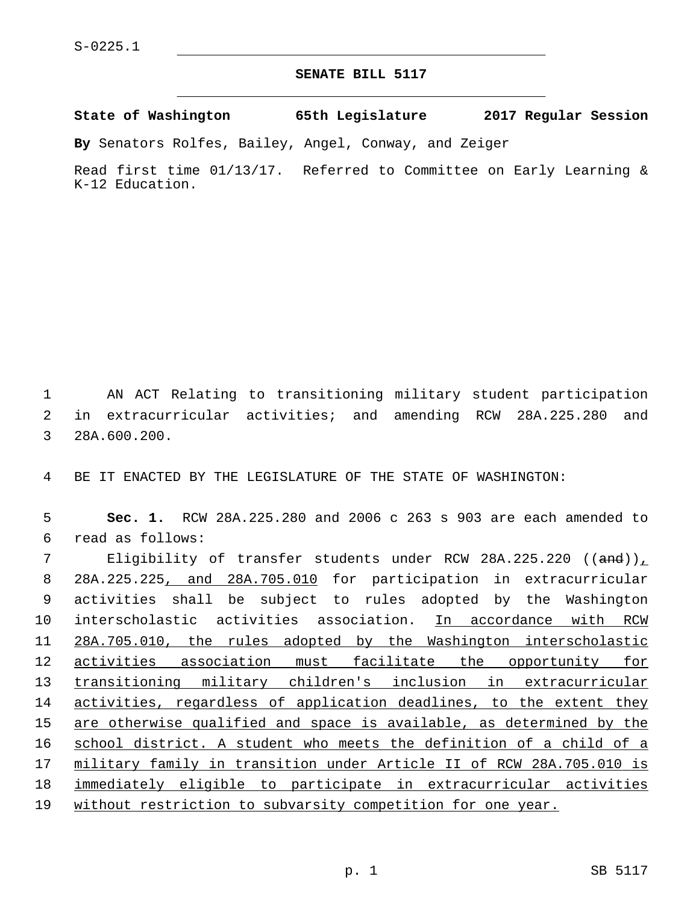## **SENATE BILL 5117**

**State of Washington 65th Legislature 2017 Regular Session**

**By** Senators Rolfes, Bailey, Angel, Conway, and Zeiger

Read first time 01/13/17. Referred to Committee on Early Learning & K-12 Education.

1 AN ACT Relating to transitioning military student participation 2 in extracurricular activities; and amending RCW 28A.225.280 and 3 28A.600.200.

4 BE IT ENACTED BY THE LEGISLATURE OF THE STATE OF WASHINGTON:

5 **Sec. 1.** RCW 28A.225.280 and 2006 c 263 s 903 are each amended to read as follows:6

 Eligibility of transfer students under RCW 28A.225.220 ((and)), 28A.225.225, and 28A.705.010 for participation in extracurricular activities shall be subject to rules adopted by the Washington 10 interscholastic activities association. In accordance with RCW 28A.705.010, the rules adopted by the Washington interscholastic 12 activities association must facilitate the opportunity for transitioning military children's inclusion in extracurricular 14 activities, regardless of application deadlines, to the extent they are otherwise qualified and space is available, as determined by the school district. A student who meets the definition of a child of a military family in transition under Article II of RCW 28A.705.010 is immediately eligible to participate in extracurricular activities without restriction to subvarsity competition for one year.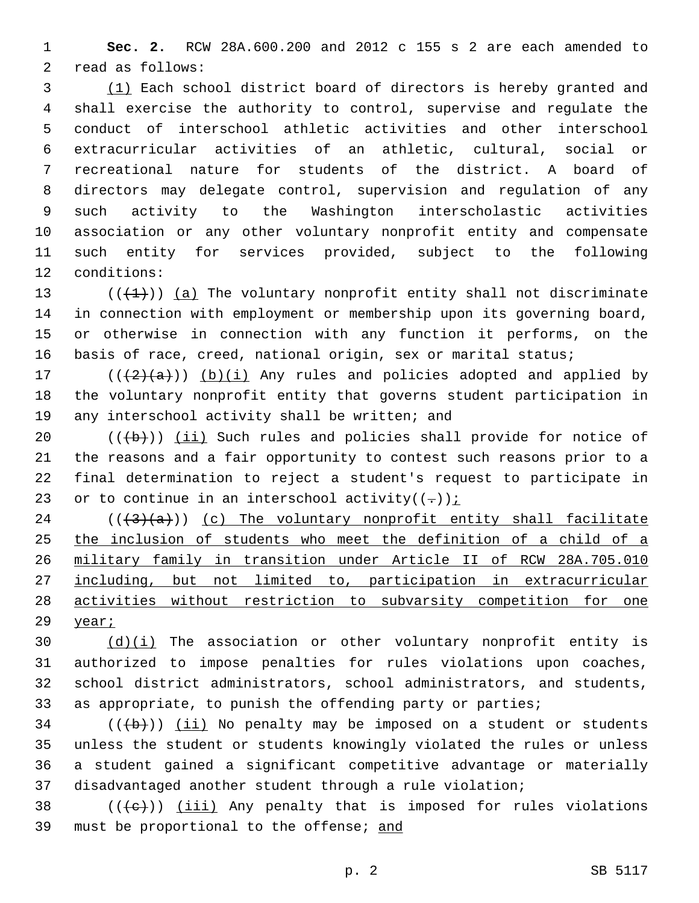**Sec. 2.** RCW 28A.600.200 and 2012 c 155 s 2 are each amended to 2 read as follows:

 (1) Each school district board of directors is hereby granted and shall exercise the authority to control, supervise and regulate the conduct of interschool athletic activities and other interschool extracurricular activities of an athletic, cultural, social or recreational nature for students of the district. A board of directors may delegate control, supervision and regulation of any such activity to the Washington interscholastic activities association or any other voluntary nonprofit entity and compensate such entity for services provided, subject to the following 12 conditions:

 $((+1))$  (a) The voluntary nonprofit entity shall not discriminate in connection with employment or membership upon its governing board, or otherwise in connection with any function it performs, on the basis of race, creed, national origin, sex or marital status;

17  $((+2)(a))$  (b)(i) Any rules and policies adopted and applied by the voluntary nonprofit entity that governs student participation in 19 any interschool activity shall be written; and

 $((+b))$   $(i)$  Such rules and policies shall provide for notice of the reasons and a fair opportunity to contest such reasons prior to a final determination to reject a student's request to participate in 23 or to continue in an interschool activity( $(-)$ ):

 $((+3)(a))$  (c) The voluntary nonprofit entity shall facilitate the inclusion of students who meet the definition of a child of a military family in transition under Article II of RCW 28A.705.010 including, but not limited to, participation in extracurricular activities without restriction to subvarsity competition for one year;

 $(d)(i)$  The association or other voluntary nonprofit entity is authorized to impose penalties for rules violations upon coaches, school district administrators, school administrators, and students, as appropriate, to punish the offending party or parties;

 (( $\left(\frac{1}{10}\right)$ ) (ii) No penalty may be imposed on a student or students unless the student or students knowingly violated the rules or unless a student gained a significant competitive advantage or materially disadvantaged another student through a rule violation;

38  $((+e))$  (iii) Any penalty that is imposed for rules violations 39 must be proportional to the offense; and